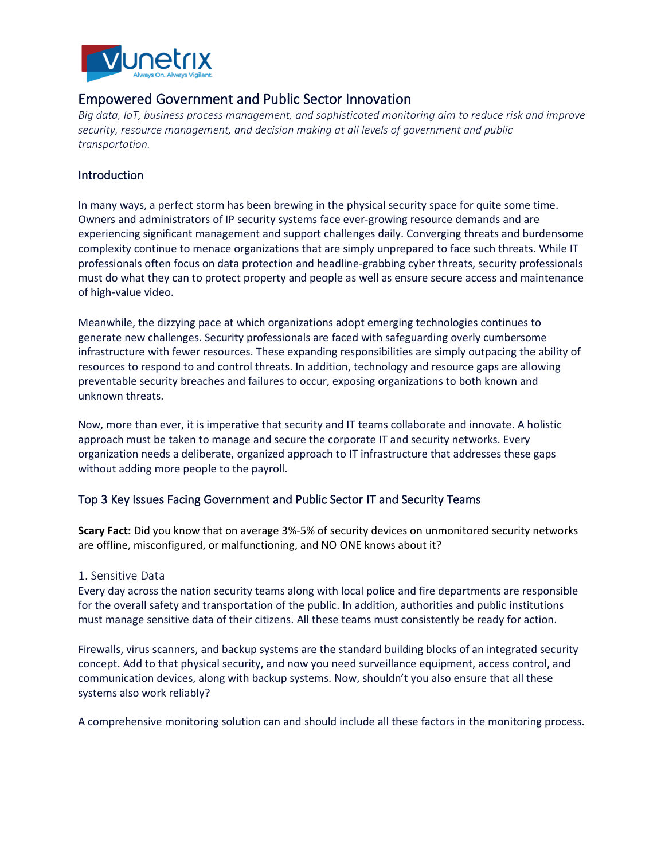

# Empowered Government and Public Sector Innovation

*Big data, IoT, business process management, and sophisticated monitoring aim to reduce risk and improve security, resource management, and decision making at all levels of government and public transportation.*

## **Introduction**

In many ways, a perfect storm has been brewing in the physical security space for quite some time. Owners and administrators of IP security systems face ever-growing resource demands and are experiencing significant management and support challenges daily. Converging threats and burdensome complexity continue to menace organizations that are simply unprepared to face such threats. While IT professionals often focus on data protection and headline-grabbing cyber threats, security professionals must do what they can to protect property and people as well as ensure secure access and maintenance of high-value video.

Meanwhile, the dizzying pace at which organizations adopt emerging technologies continues to generate new challenges. Security professionals are faced with safeguarding overly cumbersome infrastructure with fewer resources. These expanding responsibilities are simply outpacing the ability of resources to respond to and control threats. In addition, technology and resource gaps are allowing preventable security breaches and failures to occur, exposing organizations to both known and unknown threats.

Now, more than ever, it is imperative that security and IT teams collaborate and innovate. A holistic approach must be taken to manage and secure the corporate IT and security networks. Every organization needs a deliberate, organized approach to IT infrastructure that addresses these gaps without adding more people to the payroll.

## Top 3 Key Issues Facing Government and Public Sector IT and Security Teams

**Scary Fact:** Did you know that on average 3%-5% of security devices on unmonitored security networks are offline, misconfigured, or malfunctioning, and NO ONE knows about it?

#### 1. Sensitive Data

Every day across the nation security teams along with local police and fire departments are responsible for the overall safety and transportation of the public. In addition, authorities and public institutions must manage sensitive data of their citizens. All these teams must consistently be ready for action.

Firewalls, virus scanners, and backup systems are the standard building blocks of an integrated security concept. Add to that physical security, and now you need surveillance equipment, access control, and communication devices, along with backup systems. Now, shouldn't you also ensure that all these systems also work reliably?

A comprehensive monitoring solution can and should include all these factors in the monitoring process.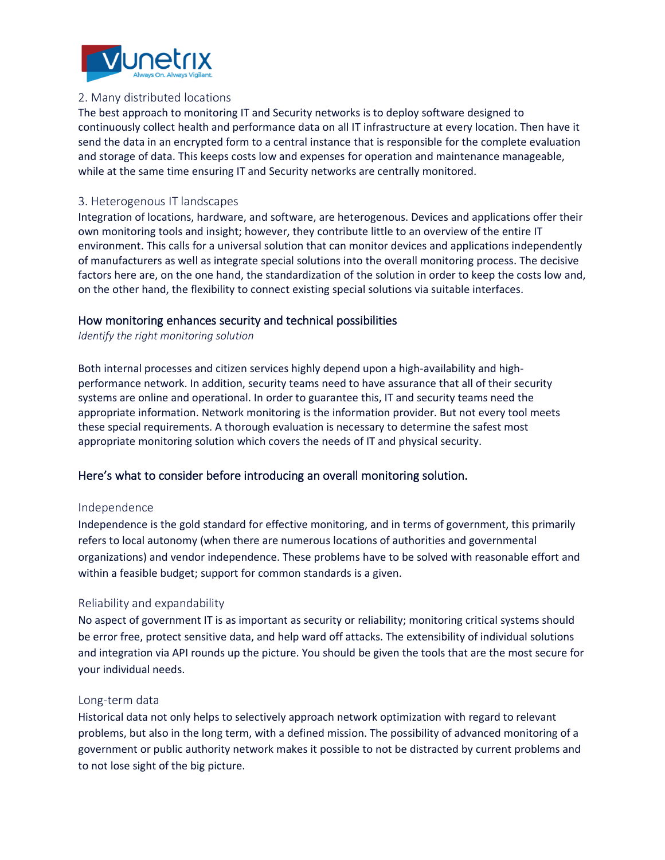

### 2. Many distributed locations

The best approach to monitoring IT and Security networks is to deploy software designed to continuously collect health and performance data on all IT infrastructure at every location. Then have it send the data in an encrypted form to a central instance that is responsible for the complete evaluation and storage of data. This keeps costs low and expenses for operation and maintenance manageable, while at the same time ensuring IT and Security networks are centrally monitored.

### 3. Heterogenous IT landscapes

Integration of locations, hardware, and software, are heterogenous. Devices and applications offer their own monitoring tools and insight; however, they contribute little to an overview of the entire IT environment. This calls for a universal solution that can monitor devices and applications independently of manufacturers as well as integrate special solutions into the overall monitoring process. The decisive factors here are, on the one hand, the standardization of the solution in order to keep the costs low and, on the other hand, the flexibility to connect existing special solutions via suitable interfaces.

### How monitoring enhances security and technical possibilities

*Identify the right monitoring solution*

Both internal processes and citizen services highly depend upon a high-availability and highperformance network. In addition, security teams need to have assurance that all of their security systems are online and operational. In order to guarantee this, IT and security teams need the appropriate information. Network monitoring is the information provider. But not every tool meets these special requirements. A thorough evaluation is necessary to determine the safest most appropriate monitoring solution which covers the needs of IT and physical security.

## Here's what to consider before introducing an overall monitoring solution.

#### Independence

Independence is the gold standard for effective monitoring, and in terms of government, this primarily refers to local autonomy (when there are numerous locations of authorities and governmental organizations) and vendor independence. These problems have to be solved with reasonable effort and within a feasible budget; support for common standards is a given.

## Reliability and expandability

No aspect of government IT is as important as security or reliability; monitoring critical systems should be error free, protect sensitive data, and help ward off attacks. The extensibility of individual solutions and integration via API rounds up the picture. You should be given the tools that are the most secure for your individual needs.

#### Long-term data

Historical data not only helps to selectively approach network optimization with regard to relevant problems, but also in the long term, with a defined mission. The possibility of advanced monitoring of a government or public authority network makes it possible to not be distracted by current problems and to not lose sight of the big picture.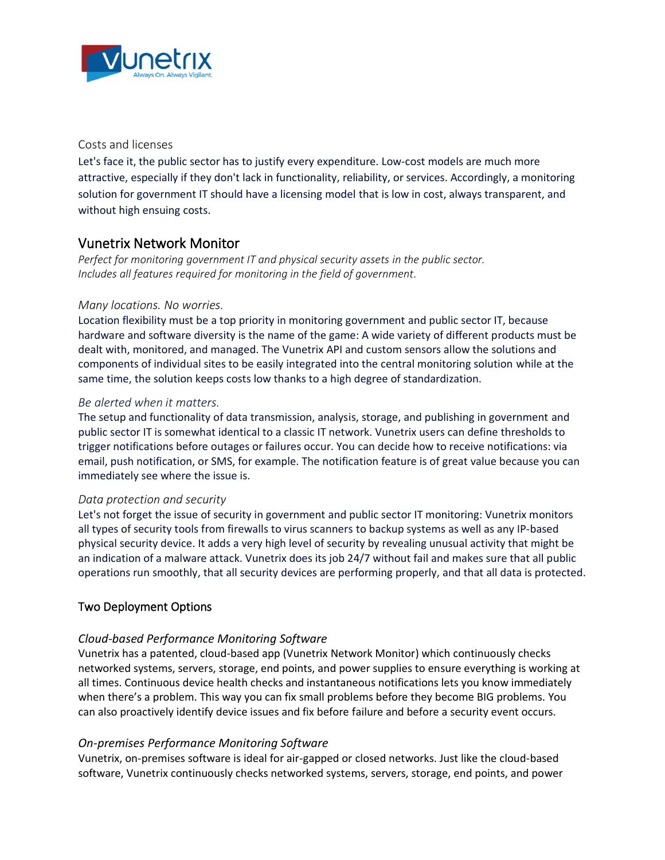

### Costs and licenses

Let's face it, the public sector has to justify every expenditure. Low-cost models are much more attractive, especially if they don't lack in functionality, reliability, or services. Accordingly, a monitoring solution for government IT should have a licensing model that is low in cost, always transparent, and without high ensuing costs.

## Vunetrix Network Monitor

*Perfect for monitoring government IT and physical security assets in the public sector. Includes all features required for monitoring in the field of government.*

### *Many locations. No worries.*

Location flexibility must be a top priority in monitoring government and public sector IT, because hardware and software diversity is the name of the game: A wide variety of different products must be dealt with, monitored, and managed. The Vunetrix API and custom sensors allow the solutions and components of individual sites to be easily integrated into the central monitoring solution while at the same time, the solution keeps costs low thanks to a high degree of standardization.

### *Be alerted when it matters.*

The setup and functionality of data transmission, analysis, storage, and publishing in government and public sector IT is somewhat identical to a classic IT network. Vunetrix users can define thresholds to trigger notifications before outages or failures occur. You can decide how to receive notifications: via email, push notification, or SMS, for example. The notification feature is of great value because you can immediately see where the issue is.

#### *Data protection and security*

Let's not forget the issue of security in government and public sector IT monitoring: Vunetrix monitors all types of security tools from firewalls to virus scanners to backup systems as well as any IP-based physical security device. It adds a very high level of security by revealing unusual activity that might be an indication of a malware attack. Vunetrix does its job 24/7 without fail and makes sure that all public operations run smoothly, that all security devices are performing properly, and that all data is protected.

## Two Deployment Options

## *Cloud-based Performance Monitoring Software*

Vunetrix has a patented, cloud-based app (Vunetrix Network Monitor) which continuously checks networked systems, servers, storage, end points, and power supplies to ensure everything is working at all times. Continuous device health checks and instantaneous notifications lets you know immediately when there's a problem. This way you can fix small problems before they become BIG problems. You can also proactively identify device issues and fix before failure and before a security event occurs.

#### *On-premises Performance Monitoring Software*

Vunetrix, on-premises software is ideal for air-gapped or closed networks. Just like the cloud-based software, Vunetrix continuously checks networked systems, servers, storage, end points, and power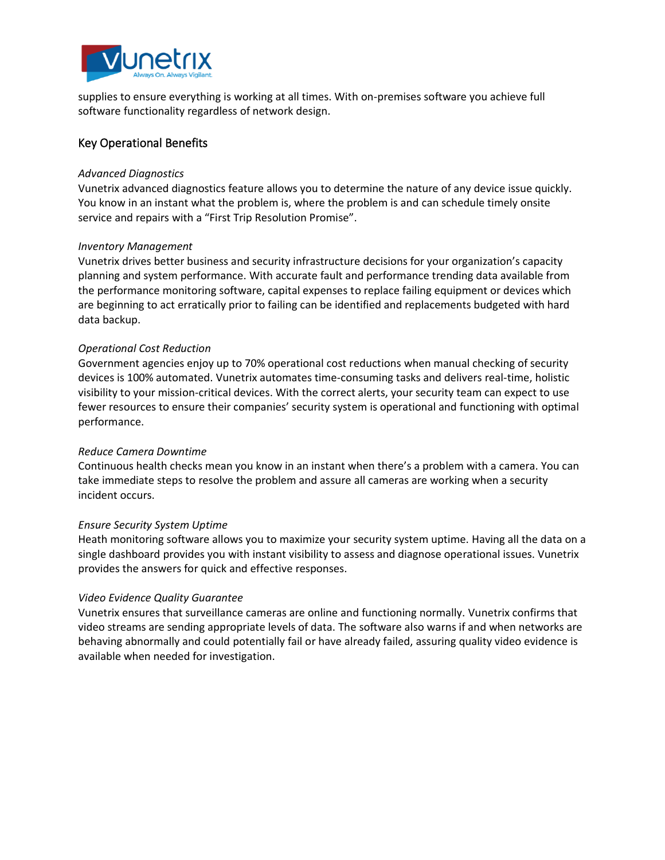

supplies to ensure everything is working at all times. With on-premises software you achieve full software functionality regardless of network design.

## Key Operational Benefits

#### *Advanced Diagnostics*

Vunetrix advanced diagnostics feature allows you to determine the nature of any device issue quickly. You know in an instant what the problem is, where the problem is and can schedule timely onsite service and repairs with a "First Trip Resolution Promise".

#### *Inventory Management*

Vunetrix drives better business and security infrastructure decisions for your organization's capacity planning and system performance. With accurate fault and performance trending data available from the performance monitoring software, capital expenses to replace failing equipment or devices which are beginning to act erratically prior to failing can be identified and replacements budgeted with hard data backup.

#### *Operational Cost Reduction*

Government agencies enjoy up to 70% operational cost reductions when manual checking of security devices is 100% automated. Vunetrix automates time-consuming tasks and delivers real-time, holistic visibility to your mission-critical devices. With the correct alerts, your security team can expect to use fewer resources to ensure their companies' security system is operational and functioning with optimal performance.

#### *Reduce Camera Downtime*

Continuous health checks mean you know in an instant when there's a problem with a camera. You can take immediate steps to resolve the problem and assure all cameras are working when a security incident occurs.

#### *Ensure Security System Uptime*

Heath monitoring software allows you to maximize your security system uptime. Having all the data on a single dashboard provides you with instant visibility to assess and diagnose operational issues. Vunetrix provides the answers for quick and effective responses.

#### *Video Evidence Quality Guarantee*

Vunetrix ensures that surveillance cameras are online and functioning normally. Vunetrix confirms that video streams are sending appropriate levels of data. The software also warns if and when networks are behaving abnormally and could potentially fail or have already failed, assuring quality video evidence is available when needed for investigation.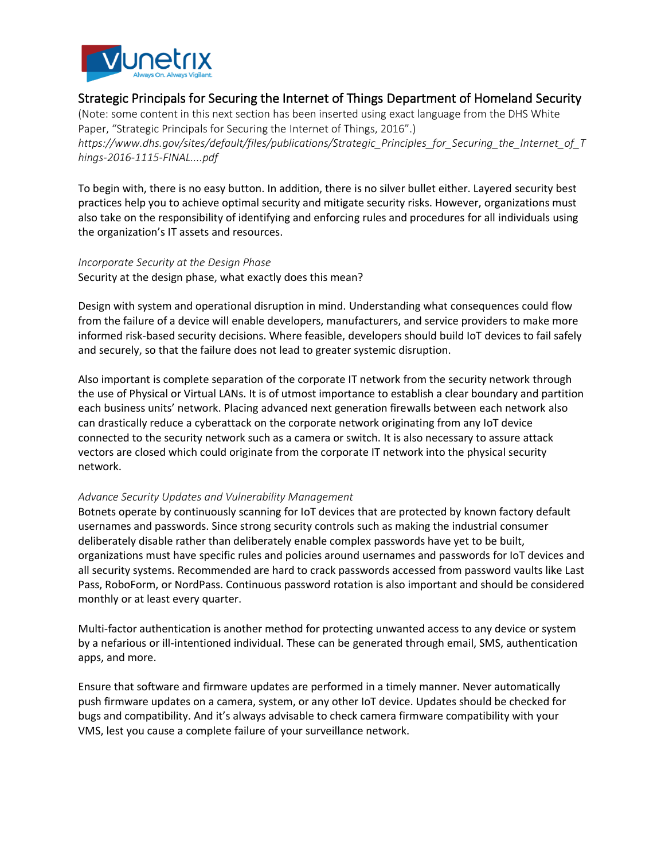

# Strategic Principals for Securing the Internet of Things Department of Homeland Security

(Note: some content in this next section has been inserted using exact language from the DHS White Paper, "Strategic Principals for Securing the Internet of Things, 2016".) *https://www.dhs.gov/sites/default/files/publications/Strategic\_Principles\_for\_Securing\_the\_Internet\_of\_T hings-2016-1115-FINAL....pdf*

To begin with, there is no easy button. In addition, there is no silver bullet either. Layered security best practices help you to achieve optimal security and mitigate security risks. However, organizations must also take on the responsibility of identifying and enforcing rules and procedures for all individuals using the organization's IT assets and resources.

*Incorporate Security at the Design Phase*  Security at the design phase, what exactly does this mean?

Design with system and operational disruption in mind. Understanding what consequences could flow from the failure of a device will enable developers, manufacturers, and service providers to make more informed risk-based security decisions. Where feasible, developers should build IoT devices to fail safely and securely, so that the failure does not lead to greater systemic disruption.

Also important is complete separation of the corporate IT network from the security network through the use of Physical or Virtual LANs. It is of utmost importance to establish a clear boundary and partition each business units' network. Placing advanced next generation firewalls between each network also can drastically reduce a cyberattack on the corporate network originating from any IoT device connected to the security network such as a camera or switch. It is also necessary to assure attack vectors are closed which could originate from the corporate IT network into the physical security network.

#### *Advance Security Updates and Vulnerability Management*

Botnets operate by continuously scanning for IoT devices that are protected by known factory default usernames and passwords. Since strong security controls such as making the industrial consumer deliberately disable rather than deliberately enable complex passwords have yet to be built, organizations must have specific rules and policies around usernames and passwords for IoT devices and all security systems. Recommended are hard to crack passwords accessed from password vaults like Last Pass, RoboForm, or NordPass. Continuous password rotation is also important and should be considered monthly or at least every quarter.

Multi-factor authentication is another method for protecting unwanted access to any device or system by a nefarious or ill-intentioned individual. These can be generated through email, SMS, authentication apps, and more.

Ensure that software and firmware updates are performed in a timely manner. Never automatically push firmware updates on a camera, system, or any other IoT device. Updates should be checked for bugs and compatibility. And it's always advisable to check camera firmware compatibility with your VMS, lest you cause a complete failure of your surveillance network.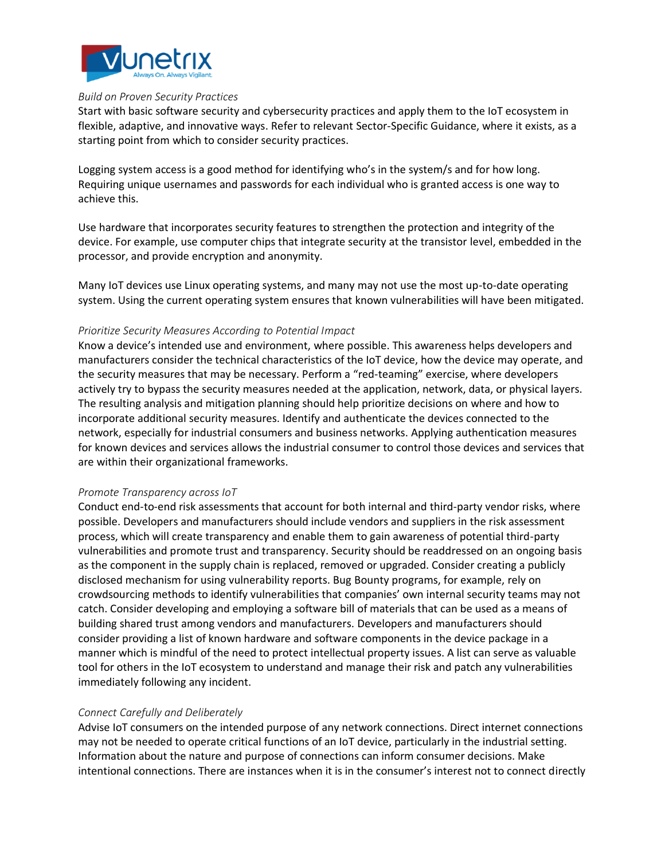

#### *Build on Proven Security Practices*

Start with basic software security and cybersecurity practices and apply them to the IoT ecosystem in flexible, adaptive, and innovative ways. Refer to relevant Sector-Specific Guidance, where it exists, as a starting point from which to consider security practices.

Logging system access is a good method for identifying who's in the system/s and for how long. Requiring unique usernames and passwords for each individual who is granted access is one way to achieve this.

Use hardware that incorporates security features to strengthen the protection and integrity of the device. For example, use computer chips that integrate security at the transistor level, embedded in the processor, and provide encryption and anonymity.

Many IoT devices use Linux operating systems, and many may not use the most up-to-date operating system. Using the current operating system ensures that known vulnerabilities will have been mitigated.

#### *Prioritize Security Measures According to Potential Impact*

Know a device's intended use and environment, where possible. This awareness helps developers and manufacturers consider the technical characteristics of the IoT device, how the device may operate, and the security measures that may be necessary. Perform a "red-teaming" exercise, where developers actively try to bypass the security measures needed at the application, network, data, or physical layers. The resulting analysis and mitigation planning should help prioritize decisions on where and how to incorporate additional security measures. Identify and authenticate the devices connected to the network, especially for industrial consumers and business networks. Applying authentication measures for known devices and services allows the industrial consumer to control those devices and services that are within their organizational frameworks.

#### *Promote Transparency across IoT*

Conduct end-to-end risk assessments that account for both internal and third-party vendor risks, where possible. Developers and manufacturers should include vendors and suppliers in the risk assessment process, which will create transparency and enable them to gain awareness of potential third-party vulnerabilities and promote trust and transparency. Security should be readdressed on an ongoing basis as the component in the supply chain is replaced, removed or upgraded. Consider creating a publicly disclosed mechanism for using vulnerability reports. Bug Bounty programs, for example, rely on crowdsourcing methods to identify vulnerabilities that companies' own internal security teams may not catch. Consider developing and employing a software bill of materials that can be used as a means of building shared trust among vendors and manufacturers. Developers and manufacturers should consider providing a list of known hardware and software components in the device package in a manner which is mindful of the need to protect intellectual property issues. A list can serve as valuable tool for others in the IoT ecosystem to understand and manage their risk and patch any vulnerabilities immediately following any incident.

#### *Connect Carefully and Deliberately*

Advise IoT consumers on the intended purpose of any network connections. Direct internet connections may not be needed to operate critical functions of an IoT device, particularly in the industrial setting. Information about the nature and purpose of connections can inform consumer decisions. Make intentional connections. There are instances when it is in the consumer's interest not to connect directly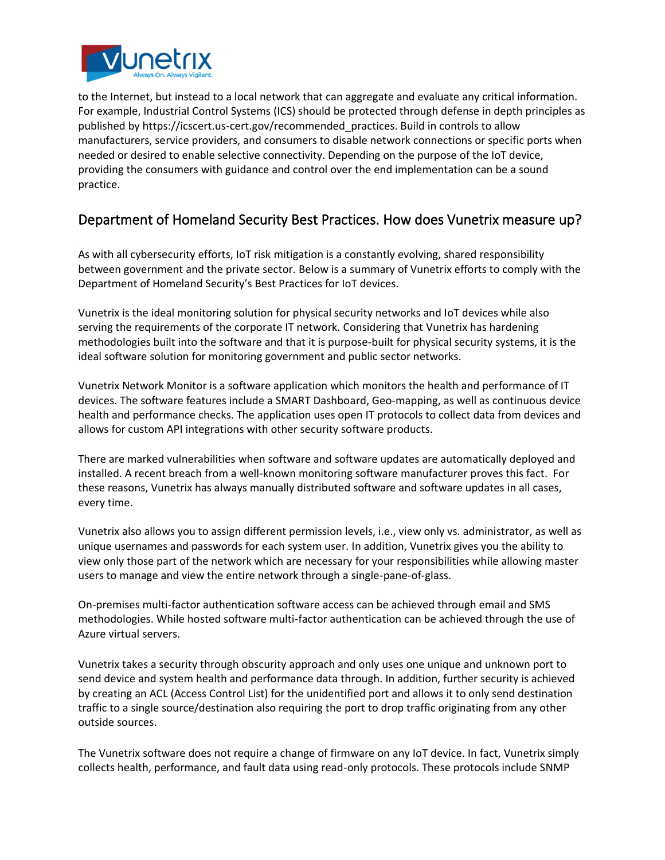

to the Internet, but instead to a local network that can aggregate and evaluate any critical information. For example, Industrial Control Systems (ICS) should be protected through defense in depth principles as published by https://icscert.us-cert.gov/recommended\_practices. Build in controls to allow manufacturers, service providers, and consumers to disable network connections or specific ports when needed or desired to enable selective connectivity. Depending on the purpose of the IoT device, providing the consumers with guidance and control over the end implementation can be a sound practice.

# Department of Homeland Security Best Practices. How does Vunetrix measure up?

As with all cybersecurity efforts, IoT risk mitigation is a constantly evolving, shared responsibility between government and the private sector. Below is a summary of Vunetrix efforts to comply with the Department of Homeland Security's Best Practices for IoT devices.

Vunetrix is the ideal monitoring solution for physical security networks and IoT devices while also serving the requirements of the corporate IT network. Considering that Vunetrix has hardening methodologies built into the software and that it is purpose-built for physical security systems, it is the ideal software solution for monitoring government and public sector networks.

Vunetrix Network Monitor is a software application which monitors the health and performance of IT devices. The software features include a SMART Dashboard, Geo-mapping, as well as continuous device health and performance checks. The application uses open IT protocols to collect data from devices and allows for custom API integrations with other security software products.

There are marked vulnerabilities when software and software updates are automatically deployed and installed. A recent breach from a well-known monitoring software manufacturer proves this fact. For these reasons, Vunetrix has always manually distributed software and software updates in all cases, every time.

Vunetrix also allows you to assign different permission levels, i.e., view only vs. administrator, as well as unique usernames and passwords for each system user. In addition, Vunetrix gives you the ability to view only those part of the network which are necessary for your responsibilities while allowing master users to manage and view the entire network through a single-pane-of-glass.

On-premises multi-factor authentication software access can be achieved through email and SMS methodologies. While hosted software multi-factor authentication can be achieved through the use of Azure virtual servers.

Vunetrix takes a security through obscurity approach and only uses one unique and unknown port to send device and system health and performance data through. In addition, further security is achieved by creating an ACL (Access Control List) for the unidentified port and allows it to only send destination traffic to a single source/destination also requiring the port to drop traffic originating from any other outside sources.

The Vunetrix software does not require a change of firmware on any IoT device. In fact, Vunetrix simply collects health, performance, and fault data using read-only protocols. These protocols include SNMP